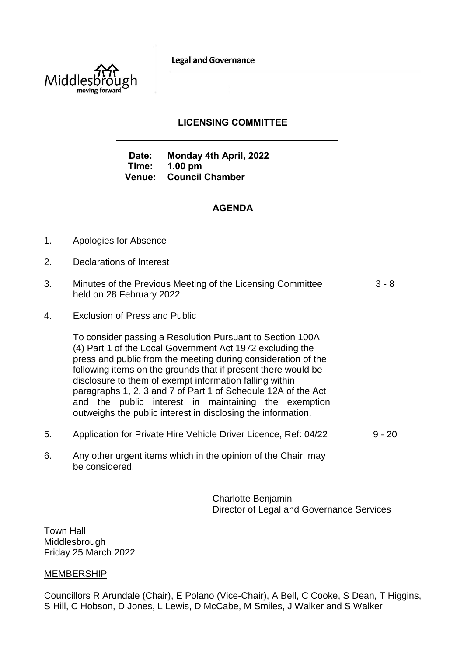**Legal and Governance** 



## **LICENSING COMMITTEE**

**Date: Monday 4th April, 2022 Time: 1.00 pm Venue: Council Chamber**

## **AGENDA**

- 1. Apologies for Absence
- 2. Declarations of Interest
- 3. Minutes of the Previous Meeting of the Licensing Committee held on 28 February 2022 3 - 8
- 4. Exclusion of Press and Public

To consider passing a Resolution Pursuant to Section 100A (4) Part 1 of the Local Government Act 1972 excluding the press and public from the meeting during consideration of the following items on the grounds that if present there would be disclosure to them of exempt information falling within paragraphs 1, 2, 3 and 7 of Part 1 of Schedule 12A of the Act and the public interest in maintaining the exemption outweighs the public interest in disclosing the information.

- 5. Application for Private Hire Vehicle Driver Licence, Ref: 04/22 9 20
- 6. Any other urgent items which in the opinion of the Chair, may be considered.

Charlotte Benjamin Director of Legal and Governance Services

Town Hall **Middlesbrough** Friday 25 March 2022

## MEMBERSHIP

Councillors R Arundale (Chair), E Polano (Vice-Chair), A Bell, C Cooke, S Dean, T Higgins, S Hill, C Hobson, D Jones, L Lewis, D McCabe, M Smiles, J Walker and S Walker